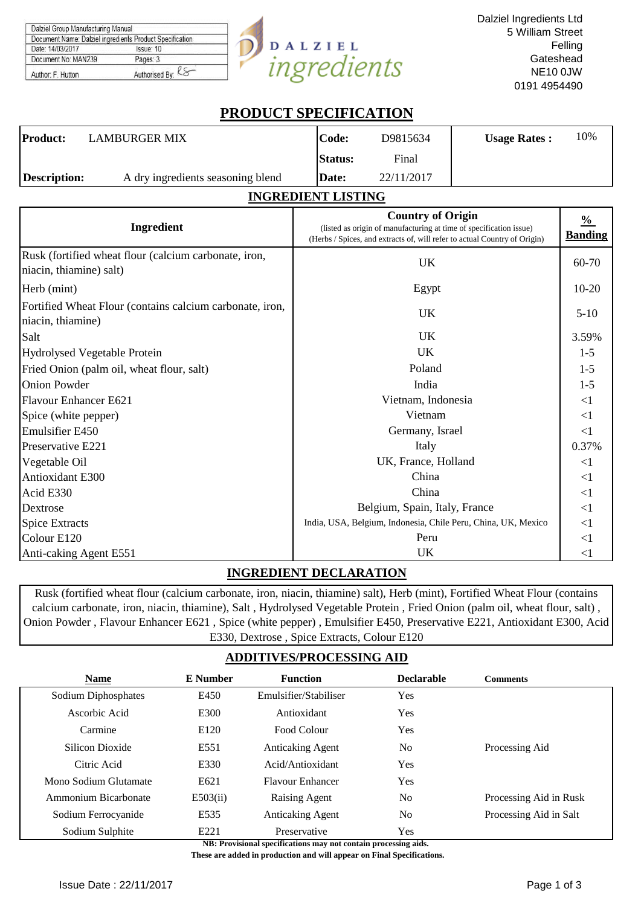| Dalziel Group Manufacturing Manual                       |                   |
|----------------------------------------------------------|-------------------|
| Document Name: Dalziel ingredients Product Specification |                   |
| Date: 14/03/2017                                         | Issue: 10         |
| Document No: MAN239                                      | Pages: 3          |
| Author: F. Hutton                                        | Authorised By: K8 |

# **DALZIEL**<br>ingredients  $\overline{\mathcal{Y}}$

# **PRODUCT SPECIFICATION**

| Product:            | <b>LAMBURGER MIX</b>              | Code:          | D9815634   | <b>Usage Rates:</b> | 10% |
|---------------------|-----------------------------------|----------------|------------|---------------------|-----|
|                     |                                   | <b>Status:</b> | Final      |                     |     |
| <b>Description:</b> | A dry ingredients seasoning blend | Date:          | 22/11/2017 |                     |     |

## **INGREDIENT LISTING**

| Ingredient                                                                       | <b>Country of Origin</b><br>(listed as origin of manufacturing at time of specification issue)<br>(Herbs / Spices, and extracts of, will refer to actual Country of Origin) | $\frac{0}{0}$<br><b>Banding</b> |
|----------------------------------------------------------------------------------|-----------------------------------------------------------------------------------------------------------------------------------------------------------------------------|---------------------------------|
| Rusk (fortified wheat flour (calcium carbonate, iron,<br>niacin, thiamine) salt) | UK                                                                                                                                                                          | 60-70                           |
| Herb (mint)                                                                      | Egypt                                                                                                                                                                       | $10 - 20$                       |
| Fortified Wheat Flour (contains calcium carbonate, iron,<br>niacin, thiamine)    | UK.                                                                                                                                                                         | $5-10$                          |
| Salt                                                                             | UK.                                                                                                                                                                         | 3.59%                           |
| Hydrolysed Vegetable Protein                                                     | UK.                                                                                                                                                                         | $1-5$                           |
| Fried Onion (palm oil, wheat flour, salt)                                        | Poland                                                                                                                                                                      | $1 - 5$                         |
| <b>Onion Powder</b>                                                              | India                                                                                                                                                                       | $1 - 5$                         |
| Flavour Enhancer E621                                                            | Vietnam, Indonesia                                                                                                                                                          | $\leq$ 1                        |
| Spice (white pepper)                                                             | Vietnam                                                                                                                                                                     | $\leq$ 1                        |
| Emulsifier E450                                                                  | Germany, Israel                                                                                                                                                             | $\leq$ 1                        |
| <b>Preservative E221</b>                                                         | Italy                                                                                                                                                                       | 0.37%                           |
| Vegetable Oil                                                                    | UK, France, Holland                                                                                                                                                         | $\leq$ 1                        |
| Antioxidant E300                                                                 | China                                                                                                                                                                       | $\leq$ 1                        |
| Acid E330                                                                        | China                                                                                                                                                                       | $\leq$ 1                        |
| Dextrose                                                                         | Belgium, Spain, Italy, France                                                                                                                                               | $\leq$ 1                        |
| <b>Spice Extracts</b>                                                            | India, USA, Belgium, Indonesia, Chile Peru, China, UK, Mexico                                                                                                               | $\leq$ 1                        |
| Colour E120                                                                      | Peru                                                                                                                                                                        | $\leq$ 1                        |
| Anti-caking Agent E551                                                           | UK                                                                                                                                                                          | $<$ 1                           |

# **INGREDIENT DECLARATION**

Rusk (fortified wheat flour (calcium carbonate, iron, niacin, thiamine) salt), Herb (mint), Fortified Wheat Flour (contains calcium carbonate, iron, niacin, thiamine), Salt , Hydrolysed Vegetable Protein , Fried Onion (palm oil, wheat flour, salt) , Onion Powder , Flavour Enhancer E621 , Spice (white pepper) , Emulsifier E450, Preservative E221, Antioxidant E300, Acid E330, Dextrose , Spice Extracts, Colour E120

# **ADDITIVES/PROCESSING AID**

| <b>Name</b>           | <b>E</b> Number | <b>Function</b>         | <b>Declarable</b> | <b>Comments</b>        |
|-----------------------|-----------------|-------------------------|-------------------|------------------------|
| Sodium Diphosphates   | E450            | Emulsifier/Stabiliser   | Yes               |                        |
| Ascorbic Acid         | E300            | Antioxidant             | <b>Yes</b>        |                        |
| Carmine               | E120            | Food Colour             | Yes               |                        |
| Silicon Dioxide       | E551            | <b>Anticaking Agent</b> | No                | Processing Aid         |
| Citric Acid           | E330            | Acid/Antioxidant        | <b>Yes</b>        |                        |
| Mono Sodium Glutamate | E621            | <b>Flavour Enhancer</b> | <b>Yes</b>        |                        |
| Ammonium Bicarbonate  | E503(ii)        | Raising Agent           | No                | Processing Aid in Rusk |
| Sodium Ferrocyanide   | E535            | <b>Anticaking Agent</b> | N <sub>0</sub>    | Processing Aid in Salt |
| Sodium Sulphite       | E221            | Preservative            | Yes               |                        |

**NB: Provisional specifications may not contain processing aids.** 

 **These are added in production and will appear on Final Specifications.**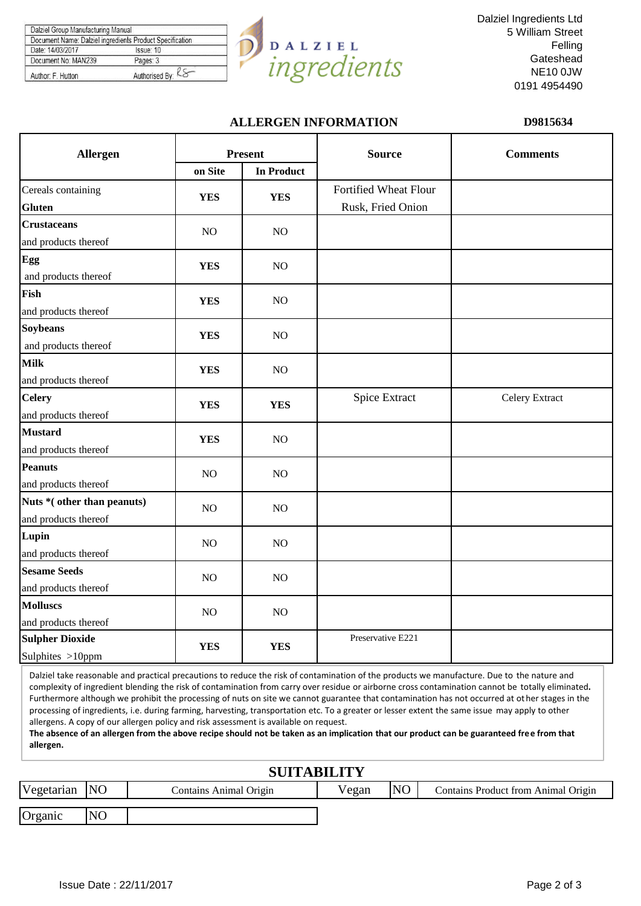| Issue: 10 |
|-----------|
| Pages: 3  |
|           |



Dalziel Ingredients Ltd 5 William Street Felling **Gateshead** NE10 0JW 0191 4954490

### **ALLERGEN INFORMATION D9815634**

| Allergen                   | <b>Present</b> |                   | <b>Source</b>         | <b>Comments</b> |  |
|----------------------------|----------------|-------------------|-----------------------|-----------------|--|
|                            | on Site        | <b>In Product</b> |                       |                 |  |
| Cereals containing         | <b>YES</b>     | <b>YES</b>        | Fortified Wheat Flour |                 |  |
| <b>Gluten</b>              |                |                   | Rusk, Fried Onion     |                 |  |
| <b>Crustaceans</b>         | $\rm NO$       | NO                |                       |                 |  |
| and products thereof       |                |                   |                       |                 |  |
| Egg                        | <b>YES</b>     | N <sub>O</sub>    |                       |                 |  |
| and products thereof       |                |                   |                       |                 |  |
| Fish                       | <b>YES</b>     | NO                |                       |                 |  |
| and products thereof       |                |                   |                       |                 |  |
| <b>Soybeans</b>            | <b>YES</b>     | NO                |                       |                 |  |
| and products thereof       |                |                   |                       |                 |  |
| <b>Milk</b>                | <b>YES</b>     | NO                |                       |                 |  |
| and products thereof       |                |                   |                       |                 |  |
| <b>Celery</b>              | <b>YES</b>     | <b>YES</b>        | Spice Extract         | Celery Extract  |  |
| and products thereof       |                |                   |                       |                 |  |
| <b>Mustard</b>             | <b>YES</b>     | NO                |                       |                 |  |
| and products thereof       |                |                   |                       |                 |  |
| <b>Peanuts</b>             | NO             | NO                |                       |                 |  |
| and products thereof       |                |                   |                       |                 |  |
| Nuts *(other than peanuts) | N <sub>O</sub> | NO.               |                       |                 |  |
| and products thereof       |                |                   |                       |                 |  |
| Lupin                      | $\rm NO$       | NO                |                       |                 |  |
| and products thereof       |                |                   |                       |                 |  |
| <b>Sesame Seeds</b>        | $\rm NO$       | NO                |                       |                 |  |
| and products thereof       |                |                   |                       |                 |  |
| <b>Molluscs</b>            | NO             | NO                |                       |                 |  |
| and products thereof       |                |                   |                       |                 |  |
| <b>Sulpher Dioxide</b>     | <b>YES</b>     | <b>YES</b>        | Preservative E221     |                 |  |
| Sulphites >10ppm           |                |                   |                       |                 |  |

Dalziel take reasonable and practical precautions to reduce the risk of contamination of the products we manufacture. Due to the nature and complexity of ingredient blending the risk of contamination from carry over residue or airborne cross contamination cannot be totally eliminated**.**  Furthermore although we prohibit the processing of nuts on site we cannot guarantee that contamination has not occurred at ot her stages in the processing of ingredients, i.e. during farming, harvesting, transportation etc. To a greater or lesser extent the same issue may apply to other allergens. A copy of our allergen policy and risk assessment is available on request.

**The absence of an allergen from the above recipe should not be taken as an implication that our product can be guaranteed free from that allergen.**

| <b>SUITABILITY</b> |           |                        |       |                |                                            |  |  |
|--------------------|-----------|------------------------|-------|----------------|--------------------------------------------|--|--|
| Vegetarian NO      |           | Contains Animal Origin | Vegan | N <sub>O</sub> | <b>Contains Product from Animal Origin</b> |  |  |
| Organic            | <b>NO</b> |                        |       |                |                                            |  |  |